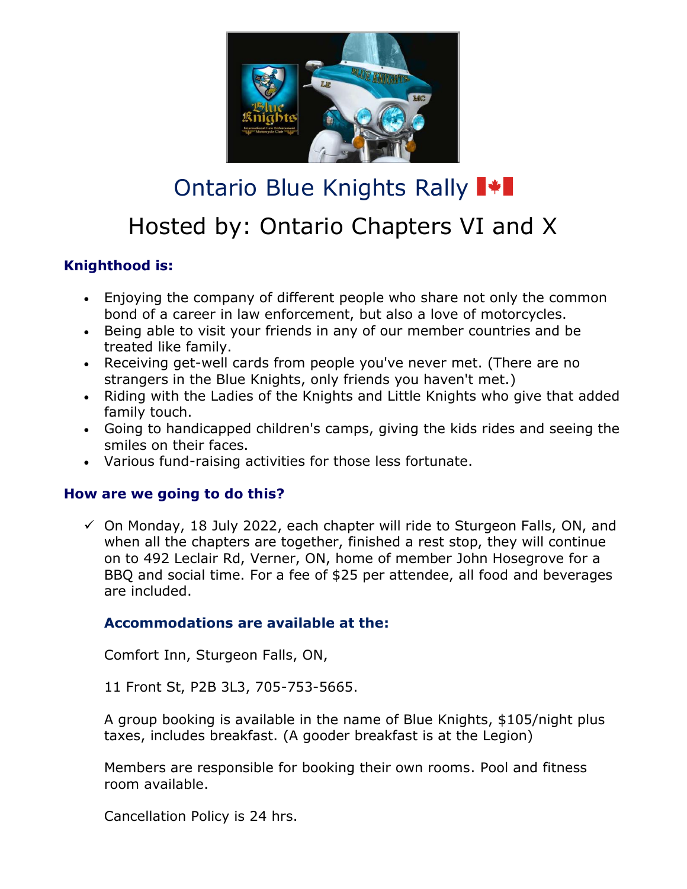

# Ontario Blue Knights Rally  $\blacksquare\blacklozenge\blacksquare$ Hosted by: Ontario Chapters VI and X

## **Knighthood is:**

- Enjoying the company of different people who share not only the common bond of a career in law enforcement, but also a love of motorcycles.
- Being able to visit your friends in any of our member countries and be treated like family.
- Receiving get-well cards from people you've never met. (There are no strangers in the Blue Knights, only friends you haven't met.)
- Riding with the Ladies of the Knights and Little Knights who give that added family touch.
- Going to handicapped children's camps, giving the kids rides and seeing the smiles on their faces.
- Various fund-raising activities for those less fortunate.

## **How are we going to do this?**

 $\checkmark$  On Monday, 18 July 2022, each chapter will ride to Sturgeon Falls, ON, and when all the chapters are together, finished a rest stop, they will continue on to 492 Leclair Rd, Verner, ON, home of member John Hosegrove for a BBQ and social time. For a fee of \$25 per attendee, all food and beverages are included.

## **Accommodations are available at the:**

Comfort Inn, Sturgeon Falls, ON,

11 Front St, P2B 3L3, 705-753-5665.

A group booking is available in the name of Blue Knights, \$105/night plus taxes, includes breakfast. (A gooder breakfast is at the Legion)

Members are responsible for booking their own rooms. Pool and fitness room available.

Cancellation Policy is 24 hrs.